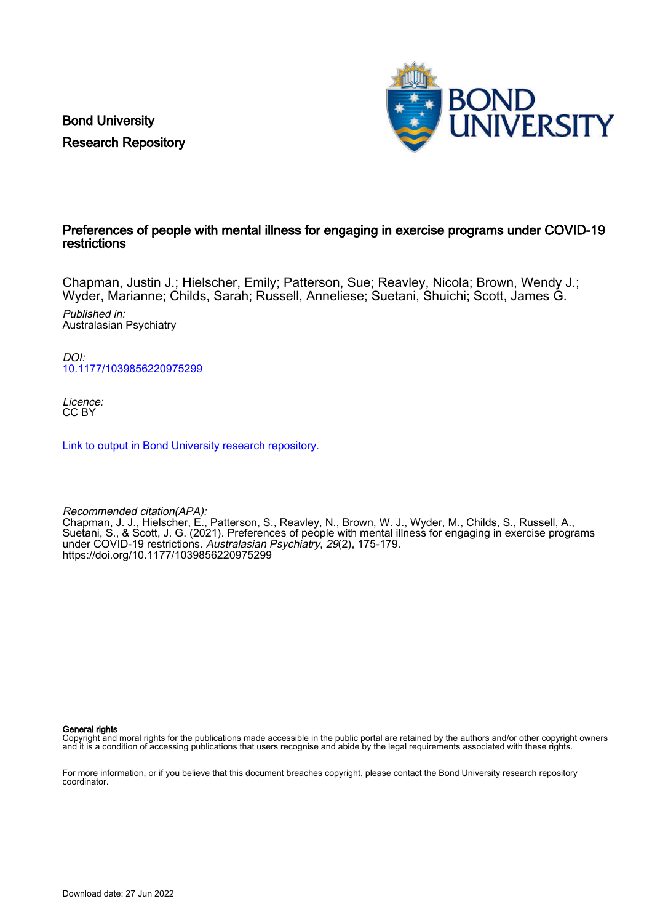Bond University Research Repository



## Preferences of people with mental illness for engaging in exercise programs under COVID-19 restrictions

Chapman, Justin J.; Hielscher, Emily; Patterson, Sue; Reavley, Nicola; Brown, Wendy J.; Wyder, Marianne; Childs, Sarah; Russell, Anneliese; Suetani, Shuichi; Scott, James G.

Published in: Australasian Psychiatry

DOI: [10.1177/1039856220975299](https://doi.org/10.1177/1039856220975299)

Licence: CC BY

[Link to output in Bond University research repository.](https://research.bond.edu.au/en/publications/c03f758e-1b86-49f8-988a-4202def3ae40)

Recommended citation(APA): Chapman, J. J., Hielscher, E., Patterson, S., Reavley, N., Brown, W. J., Wyder, M., Childs, S., Russell, A., Suetani, S., & Scott, J. G. (2021). Preferences of people with mental illness for engaging in exercise programs under COVID-19 restrictions. Australasian Psychiatry, 29(2), 175-179. <https://doi.org/10.1177/1039856220975299>

General rights

Copyright and moral rights for the publications made accessible in the public portal are retained by the authors and/or other copyright owners and it is a condition of accessing publications that users recognise and abide by the legal requirements associated with these rights.

For more information, or if you believe that this document breaches copyright, please contact the Bond University research repository coordinator.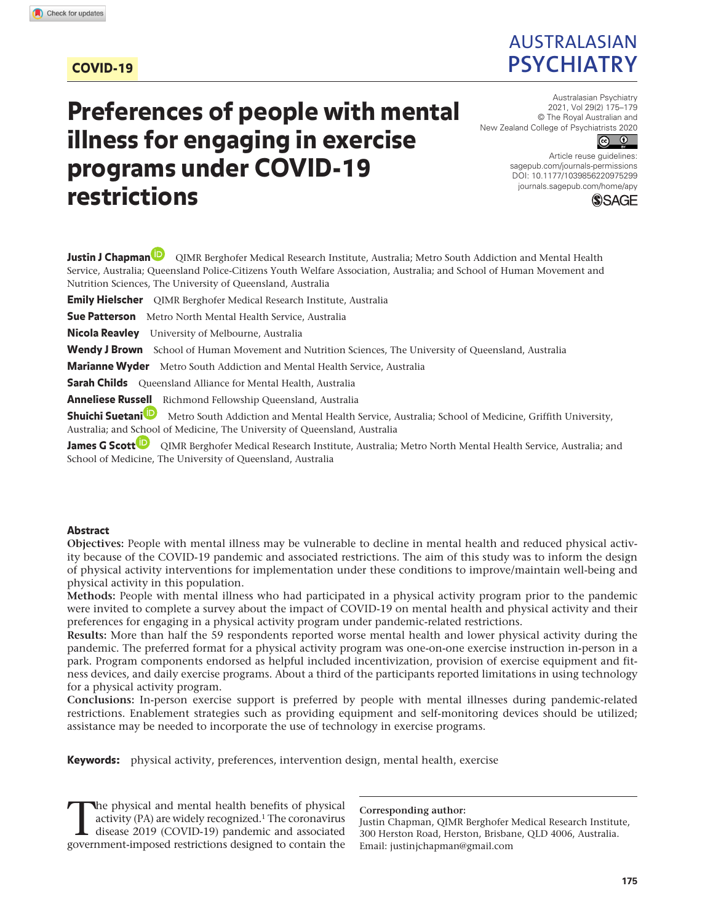## COVID-19

## Australasian **Psychiatry**

# Preferences of people with mental illness for engaging in exercise programs under COVID-19 restrictions

Australasian Psychiatry 2021, Vol 29(2) 175–179 © The Royal Australian and New Zealand College of Psychiatrists 2020



DOI: 10.1177/1039856220975299 Article reuse guidelines: [sagepub.com/journals-permissions](https://uk.sagepub.com/en-gb/journals-permissions) [journals.sagepub.com/home/apy](https://journals.sagepub.com/home/apy)



**Justin J Chapman** QIMR Berghofer Medical Research Institute, Australia; Metro South Addiction and Mental Health Service, Australia; Queensland Police-Citizens Youth Welfare Association, Australia; and School of Human Movement and Nutrition Sciences, The University of Queensland, Australia **Emily Hielscher** QIMR Berghofer Medical Research Institute, Australia **Sue Patterson** Metro North Mental Health Service, Australia **Nicola Reavley** University of Melbourne, Australia Wendy J Brown School of Human Movement and Nutrition Sciences, The University of Queensland, Australia **Marianne Wyder** Metro South Addiction and Mental Health Service, Australia **Sarah Childs** Queensland Alliance for Mental Health, Australia Anneliese Russell Richmond Fellowship Queensland, Australia **Shuichi Suetani** Metro South Addiction and Mental Health Service, Australia; School of Medicine, Griffith University, Australia; and School of Medicine, The University of Queensland, Australia James G Scott<sup>1</sup> QIMR Berghofer Medical Research Institute, Australia; Metro North Mental Health Service, Australia; and School of Medicine, The University of Queensland, Australia

#### **Abstract**

**Objectives:** People with mental illness may be vulnerable to decline in mental health and reduced physical activity because of the COVID-19 pandemic and associated restrictions. The aim of this study was to inform the design of physical activity interventions for implementation under these conditions to improve/maintain well-being and physical activity in this population.

**Methods:** People with mental illness who had participated in a physical activity program prior to the pandemic were invited to complete a survey about the impact of COVID-19 on mental health and physical activity and their preferences for engaging in a physical activity program under pandemic-related restrictions.

**Results:** More than half the 59 respondents reported worse mental health and lower physical activity during the pandemic. The preferred format for a physical activity program was one-on-one exercise instruction in-person in a park. Program components endorsed as helpful included incentivization, provision of exercise equipment and fitness devices, and daily exercise programs. About a third of the participants reported limitations in using technology for a physical activity program.

**Conclusions:** In-person exercise support is preferred by people with mental illnesses during pandemic-related restrictions. Enablement strategies such as providing equipment and self-monitoring devices should be utilized; assistance may be needed to incorporate the use of technology in exercise programs.

Keywords: physical activity, preferences, intervention design, mental health, exercise

The physical and mental health benefits of physical<br>activity (PA) are widely recognized.<sup>1</sup> The coronavirus<br>disease 2019 (COVID-19) pandemic and associated<br>government imposed restrictions designed to contain the activity (PA) are widely recognized.1 The coronavirus disease 2019 (COVID-19) pandemic and associated government-imposed restrictions designed to contain the

**Corresponding author:**

Justin Chapman, QIMR Berghofer Medical Research Institute, 300 Herston Road, Herston, Brisbane, QLD 4006, Australia. Email: justinjchapman@gmail.com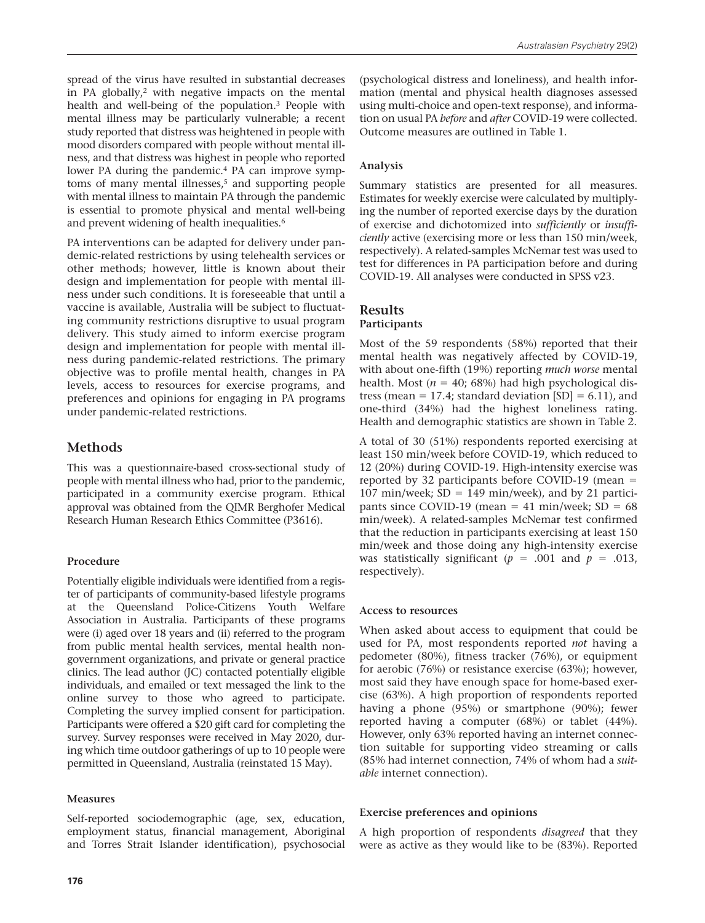spread of the virus have resulted in substantial decreases in PA globally,2 with negative impacts on the mental health and well-being of the population.3 People with mental illness may be particularly vulnerable; a recent study reported that distress was heightened in people with mood disorders compared with people without mental illness, and that distress was highest in people who reported lower PA during the pandemic.4 PA can improve symptoms of many mental illnesses,<sup>5</sup> and supporting people with mental illness to maintain PA through the pandemic is essential to promote physical and mental well-being and prevent widening of health inequalities.<sup>6</sup>

PA interventions can be adapted for delivery under pandemic-related restrictions by using telehealth services or other methods; however, little is known about their design and implementation for people with mental illness under such conditions. It is foreseeable that until a vaccine is available, Australia will be subject to fluctuating community restrictions disruptive to usual program delivery. This study aimed to inform exercise program design and implementation for people with mental illness during pandemic-related restrictions. The primary objective was to profile mental health, changes in PA levels, access to resources for exercise programs, and preferences and opinions for engaging in PA programs under pandemic-related restrictions.

## **Methods**

This was a questionnaire-based cross-sectional study of people with mental illness who had, prior to the pandemic, participated in a community exercise program. Ethical approval was obtained from the QIMR Berghofer Medical Research Human Research Ethics Committee (P3616).

## **Procedure**

Potentially eligible individuals were identified from a register of participants of community-based lifestyle programs at the Queensland Police-Citizens Youth Welfare Association in Australia. Participants of these programs were (i) aged over 18 years and (ii) referred to the program from public mental health services, mental health nongovernment organizations, and private or general practice clinics. The lead author (JC) contacted potentially eligible individuals, and emailed or text messaged the link to the online survey to those who agreed to participate. Completing the survey implied consent for participation. Participants were offered a \$20 gift card for completing the survey. Survey responses were received in May 2020, during which time outdoor gatherings of up to 10 people were permitted in Queensland, Australia (reinstated 15 May).

## **Measures**

Self-reported sociodemographic (age, sex, education, employment status, financial management, Aboriginal and Torres Strait Islander identification), psychosocial

(psychological distress and loneliness), and health information (mental and physical health diagnoses assessed using multi-choice and open-text response), and information on usual PA *before* and *after* COVID-19 were collected. Outcome measures are outlined in Table 1.

## **Analysis**

Summary statistics are presented for all measures. Estimates for weekly exercise were calculated by multiplying the number of reported exercise days by the duration of exercise and dichotomized into *sufficiently* or *insufficiently* active (exercising more or less than 150 min/week, respectively). A related-samples McNemar test was used to test for differences in PA participation before and during COVID-19. All analyses were conducted in SPSS v23.

#### **Results Participants**

Most of the 59 respondents (58%) reported that their mental health was negatively affected by COVID-19, with about one-fifth (19%) reporting *much worse* mental health. Most  $(n = 40; 68%)$  had high psychological distress (mean = 17.4; standard deviation  $[SD] = 6.11$ ), and one-third (34%) had the highest loneliness rating. Health and demographic statistics are shown in Table 2.

A total of 30 (51%) respondents reported exercising at least 150 min/week before COVID-19, which reduced to 12 (20%) during COVID-19. High-intensity exercise was reported by 32 participants before COVID-19 (mean = 107 min/week;  $SD = 149$  min/week), and by 21 participants since COVID-19 (mean = 41 min/week;  $SD = 68$ min/week). A related-samples McNemar test confirmed that the reduction in participants exercising at least 150 min/week and those doing any high-intensity exercise was statistically significant ( $p = .001$  and  $p = .013$ , respectively).

## **Access to resources**

When asked about access to equipment that could be used for PA, most respondents reported *not* having a pedometer (80%), fitness tracker (76%), or equipment for aerobic (76%) or resistance exercise (63%); however, most said they have enough space for home-based exercise (63%). A high proportion of respondents reported having a phone (95%) or smartphone (90%); fewer reported having a computer (68%) or tablet (44%). However, only 63% reported having an internet connection suitable for supporting video streaming or calls (85% had internet connection, 74% of whom had a *suitable* internet connection).

## **Exercise preferences and opinions**

A high proportion of respondents *disagreed* that they were as active as they would like to be (83%). Reported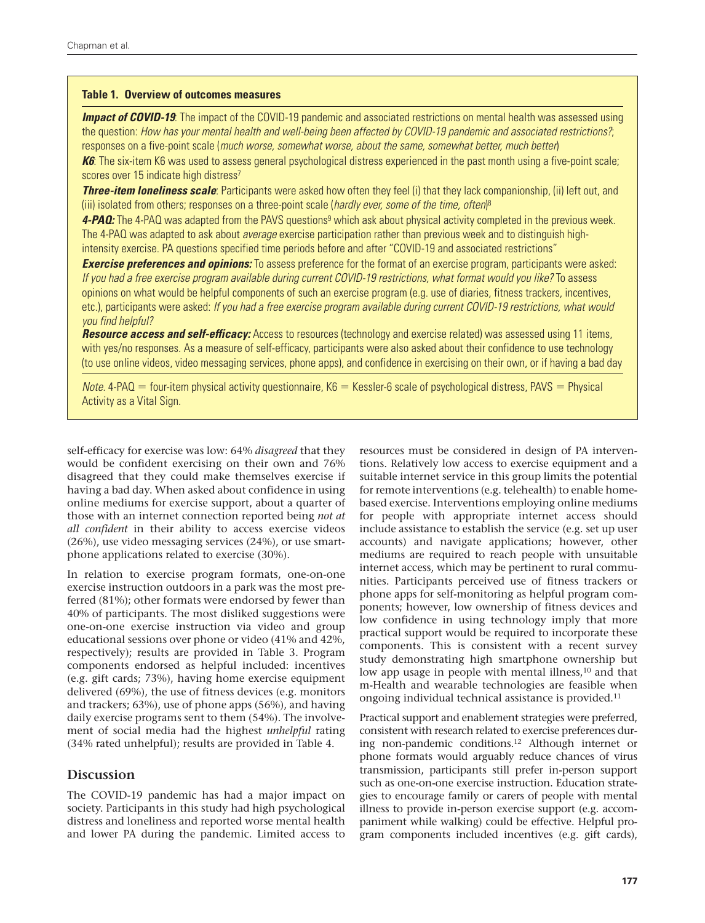#### **Table 1. Overview of outcomes measures**

*Impact of COVID-19:* The impact of the COVID-19 pandemic and associated restrictions on mental health was assessed using the question: *How has your mental health and well-being been affected by COVID-19 pandemic and associated restrictions?*; responses on a five-point scale (*much worse, somewhat worse, about the same, somewhat better, much better*)

**K6**: The six-item K6 was used to assess general psychological distress experienced in the past month using a five-point scale; scores over 15 indicate high distress<sup>7</sup>

*Three-item loneliness scale*: Participants were asked how often they feel (i) that they lack companionship, (ii) left out, and (iii) isolated from others; responses on a three-point scale (*hardly ever, some of the time, often*) 8

4-PAQ: The 4-PAQ was adapted from the PAVS questions<sup>9</sup> which ask about physical activity completed in the previous week. The 4-PAQ was adapted to ask about *average* exercise participation rather than previous week and to distinguish highintensity exercise. PA questions specified time periods before and after "COVID-19 and associated restrictions"

*Exercise preferences and opinions:* To assess preference for the format of an exercise program, participants were asked: *If you had a free exercise program available during current COVID-19 restrictions, what format would you like?* To assess opinions on what would be helpful components of such an exercise program (e.g. use of diaries, fitness trackers, incentives, etc.), participants were asked: *If you had a free exercise program available during current COVID-19 restrictions, what would you find helpful?*

*Resource access and self-efficacy:* Access to resources (technology and exercise related) was assessed using 11 items, with yes/no responses. As a measure of self-efficacy, participants were also asked about their confidence to use technology (to use online videos, video messaging services, phone apps), and confidence in exercising on their own, or if having a bad day

 $$ Activity as a Vital Sign.

self-efficacy for exercise was low: 64% *disagreed* that they would be confident exercising on their own and 76% disagreed that they could make themselves exercise if having a bad day. When asked about confidence in using online mediums for exercise support, about a quarter of those with an internet connection reported being *not at all confident* in their ability to access exercise videos (26%), use video messaging services (24%), or use smartphone applications related to exercise (30%).

In relation to exercise program formats, one-on-one exercise instruction outdoors in a park was the most preferred (81%); other formats were endorsed by fewer than 40% of participants. The most disliked suggestions were one-on-one exercise instruction via video and group educational sessions over phone or video (41% and 42%, respectively); results are provided in Table 3. Program components endorsed as helpful included: incentives (e.g. gift cards; 73%), having home exercise equipment delivered (69%), the use of fitness devices (e.g. monitors and trackers; 63%), use of phone apps (56%), and having daily exercise programs sent to them (54%). The involvement of social media had the highest *unhelpful* rating (34% rated unhelpful); results are provided in Table 4.

#### **Discussion**

The COVID-19 pandemic has had a major impact on society. Participants in this study had high psychological distress and loneliness and reported worse mental health and lower PA during the pandemic. Limited access to resources must be considered in design of PA interventions. Relatively low access to exercise equipment and a suitable internet service in this group limits the potential for remote interventions (e.g. telehealth) to enable homebased exercise. Interventions employing online mediums for people with appropriate internet access should include assistance to establish the service (e.g. set up user accounts) and navigate applications; however, other mediums are required to reach people with unsuitable internet access, which may be pertinent to rural communities. Participants perceived use of fitness trackers or phone apps for self-monitoring as helpful program components; however, low ownership of fitness devices and low confidence in using technology imply that more practical support would be required to incorporate these components. This is consistent with a recent survey study demonstrating high smartphone ownership but low app usage in people with mental illness,<sup>10</sup> and that m-Health and wearable technologies are feasible when ongoing individual technical assistance is provided.11

Practical support and enablement strategies were preferred, consistent with research related to exercise preferences during non-pandemic conditions.12 Although internet or phone formats would arguably reduce chances of virus transmission, participants still prefer in-person support such as one-on-one exercise instruction. Education strategies to encourage family or carers of people with mental illness to provide in-person exercise support (e.g. accompaniment while walking) could be effective. Helpful program components included incentives (e.g. gift cards),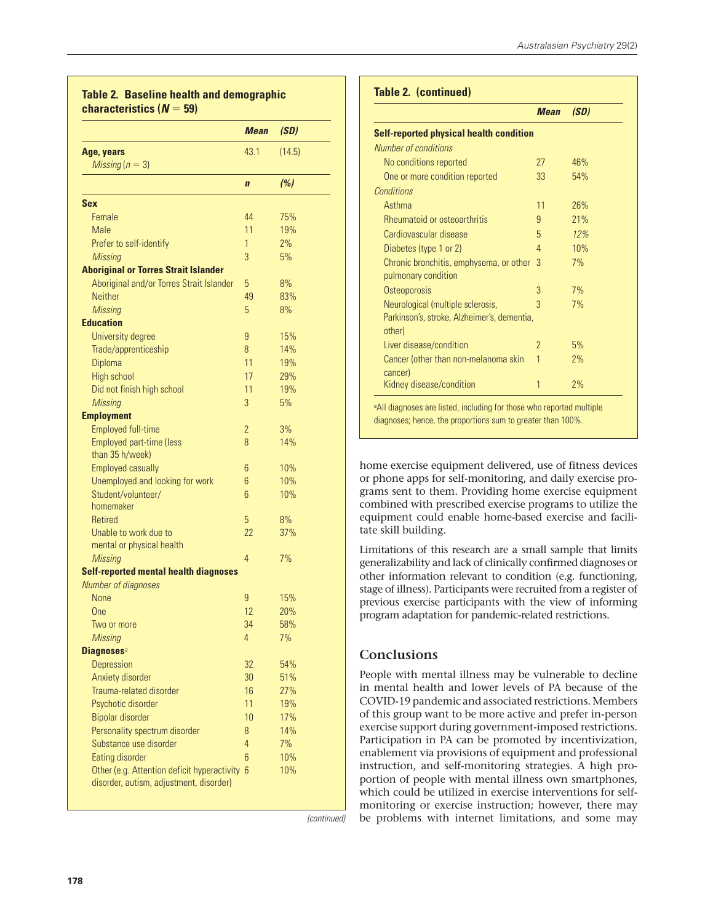|                                               | <b>Mean</b>    | (SD)   |
|-----------------------------------------------|----------------|--------|
| Age, years                                    | 43.1           | (14.5) |
| Missing $(n = 3)$                             |                |        |
|                                               | $\mathbf{n}$   | (%)    |
| <b>Sex</b>                                    |                |        |
| Female                                        | 44             | 75%    |
| Male                                          | 11             | 19%    |
| Prefer to self-identify                       | 1              | 2%     |
| <b>Missing</b>                                | 3              | 5%     |
| <b>Aboriginal or Torres Strait Islander</b>   |                |        |
| Aboriginal and/or Torres Strait Islander      | 5              | 8%     |
| <b>Neither</b>                                | 49             | 83%    |
| <b>Missing</b>                                | 5              | 8%     |
| <b>Education</b>                              |                |        |
| University degree                             | 9              | 15%    |
| Trade/apprenticeship                          | 8              | 14%    |
| Diploma                                       | 11             | 19%    |
| High school                                   | 17             | 29%    |
| Did not finish high school                    | 11             | 19%    |
| <b>Missing</b>                                | 3              | 5%     |
| <b>Employment</b>                             |                |        |
| <b>Employed full-time</b>                     | $\overline{2}$ | 3%     |
| <b>Employed part-time (less</b>               | 8              | 14%    |
| than 35 h/week)                               |                |        |
| <b>Employed casually</b>                      | 6              | 10%    |
| Unemployed and looking for work               | 6              | 10%    |
| Student/volunteer/                            | 6              | 10%    |
| homemaker                                     |                |        |
| <b>Retired</b>                                | 5              | 8%     |
| Unable to work due to                         | 22             | 37%    |
| mental or physical health                     |                |        |
| <b>Missing</b>                                | 4              | 7%     |
| <b>Self-reported mental health diagnoses</b>  |                |        |
| <b>Number of diagnoses</b>                    |                |        |
| None                                          | 9              | 15%    |
| One                                           | 12             | 20%    |
| Two or more                                   | 34             | 58%    |
| <b>Missing</b>                                | 4              | 7%     |
| <b>Diagnoses</b> <sup>a</sup>                 |                |        |
| Depression                                    | 32             | 54%    |
| Anxiety disorder                              | 30             | 51%    |
| Trauma-related disorder                       | 16             | 27%    |
| Psychotic disorder                            | 11             | 19%    |
| <b>Bipolar disorder</b>                       | 10             | 17%    |
| Personality spectrum disorder                 | 8              | 14%    |
| Substance use disorder                        | $\overline{4}$ | 7%     |
| Eating disorder                               | 6              | 10%    |
| Other (e.g. Attention deficit hyperactivity 6 |                | 10%    |
| disorder, autism, adjustment, disorder)       |                |        |

*(continued)*

#### **Table 2. (continued)**

|                                                 | <b>Mean</b>   | (SD) |
|-------------------------------------------------|---------------|------|
| <b>Self-reported physical health condition</b>  |               |      |
| Number of conditions                            |               |      |
| No conditions reported                          | 27            | 46%  |
| One or more condition reported                  | 33            | 54%  |
| Conditions                                      |               |      |
| Asthma                                          | 11            | 26%  |
| Rheumatoid or osteoarthritis                    | 9             | 21%  |
| Cardiovascular disease                          | 5             | 12%  |
| Diabetes (type 1 or 2)                          | 4             | 10%  |
| Chronic bronchitis, emphysema, or other         | $\mathcal{R}$ | 7%   |
| pulmonary condition                             |               |      |
| Osteoporosis                                    | 3             | 7%   |
| Neurological (multiple sclerosis,               | 3             | 7%   |
| Parkinson's, stroke, Alzheimer's, dementia,     |               |      |
| other)                                          |               |      |
| Liver disease/condition                         | 2             | 5%   |
| Cancer (other than non-melanoma skin<br>cancer) | 1             | 2%   |
| Kidney disease/condition                        | 1             | 2%   |

diagnoses; hence, the proportions sum to greater than 100%.

home exercise equipment delivered, use of fitness devices or phone apps for self-monitoring, and daily exercise programs sent to them. Providing home exercise equipment combined with prescribed exercise programs to utilize the equipment could enable home-based exercise and facilitate skill building.

Limitations of this research are a small sample that limits generalizability and lack of clinically confirmed diagnoses or other information relevant to condition (e.g. functioning, stage of illness). Participants were recruited from a register of previous exercise participants with the view of informing program adaptation for pandemic-related restrictions.

## **Conclusions**

People with mental illness may be vulnerable to decline in mental health and lower levels of PA because of the COVID-19 pandemic and associated restrictions. Members of this group want to be more active and prefer in-person exercise support during government-imposed restrictions. Participation in PA can be promoted by incentivization, enablement via provisions of equipment and professional instruction, and self-monitoring strategies. A high proportion of people with mental illness own smartphones, which could be utilized in exercise interventions for selfmonitoring or exercise instruction; however, there may be problems with internet limitations, and some may